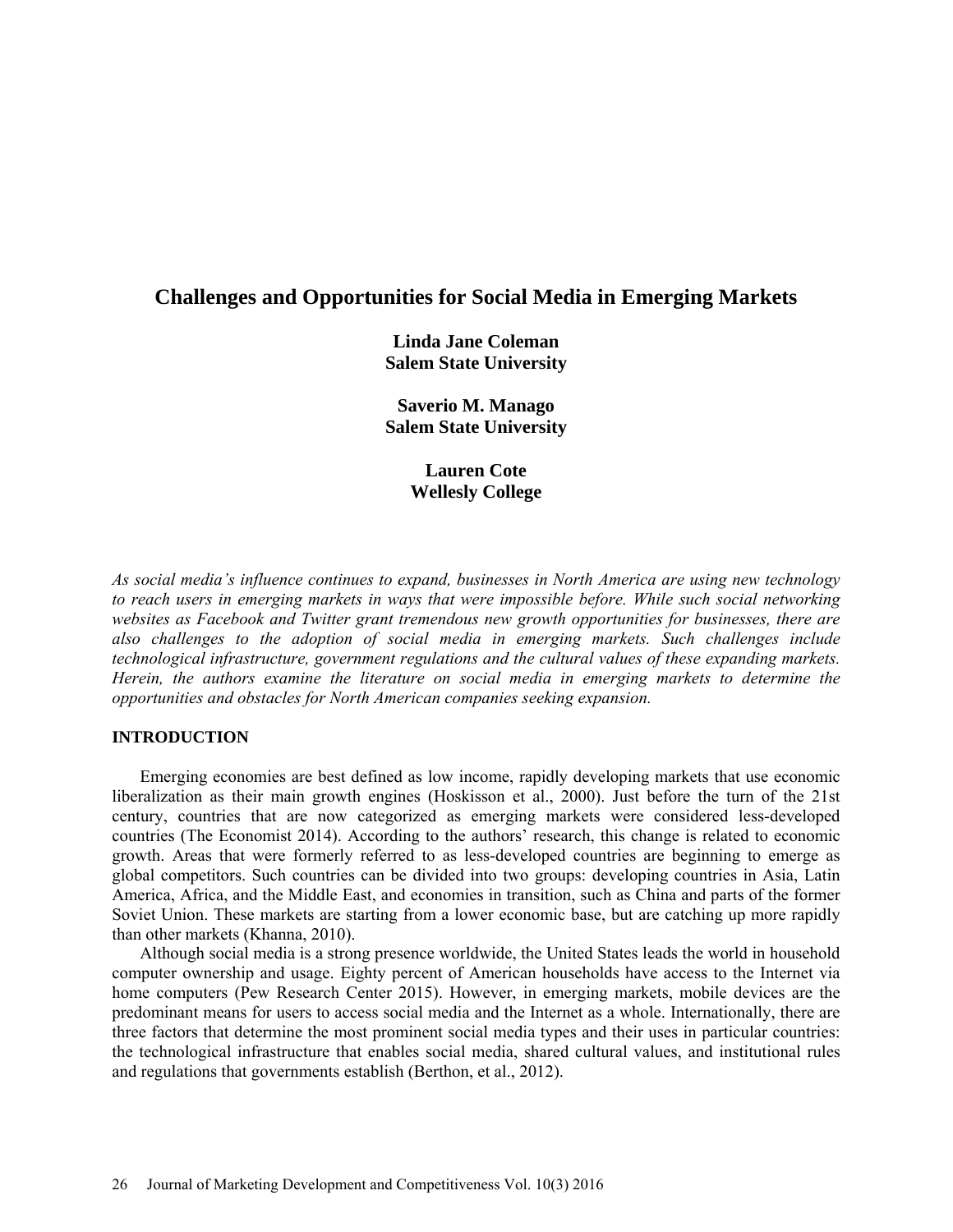# **Challenges and Opportunities for Social Media in Emerging Markets**

**Linda Jane Coleman Salem State University**

**Saverio M. Manago Salem State University**

> **Lauren Cote Wellesly College**

*As social media's influence continues to expand, businesses in North America are using new technology to reach users in emerging markets in ways that were impossible before. While such social networking websites as Facebook and Twitter grant tremendous new growth opportunities for businesses, there are also challenges to the adoption of social media in emerging markets. Such challenges include technological infrastructure, government regulations and the cultural values of these expanding markets. Herein, the authors examine the literature on social media in emerging markets to determine the opportunities and obstacles for North American companies seeking expansion.* 

# **INTRODUCTION**

Emerging economies are best defined as low income, rapidly developing markets that use economic liberalization as their main growth engines (Hoskisson et al., 2000). Just before the turn of the 21st century, countries that are now categorized as emerging markets were considered less-developed countries (The Economist 2014). According to the authors' research, this change is related to economic growth. Areas that were formerly referred to as less-developed countries are beginning to emerge as global competitors. Such countries can be divided into two groups: developing countries in Asia, Latin America, Africa, and the Middle East, and economies in transition, such as China and parts of the former Soviet Union. These markets are starting from a lower economic base, but are catching up more rapidly than other markets (Khanna, 2010).

Although social media is a strong presence worldwide, the United States leads the world in household computer ownership and usage. Eighty percent of American households have access to the Internet via home computers (Pew Research Center 2015). However, in emerging markets, mobile devices are the predominant means for users to access social media and the Internet as a whole. Internationally, there are three factors that determine the most prominent social media types and their uses in particular countries: the technological infrastructure that enables social media, shared cultural values, and institutional rules and regulations that governments establish (Berthon, et al., 2012).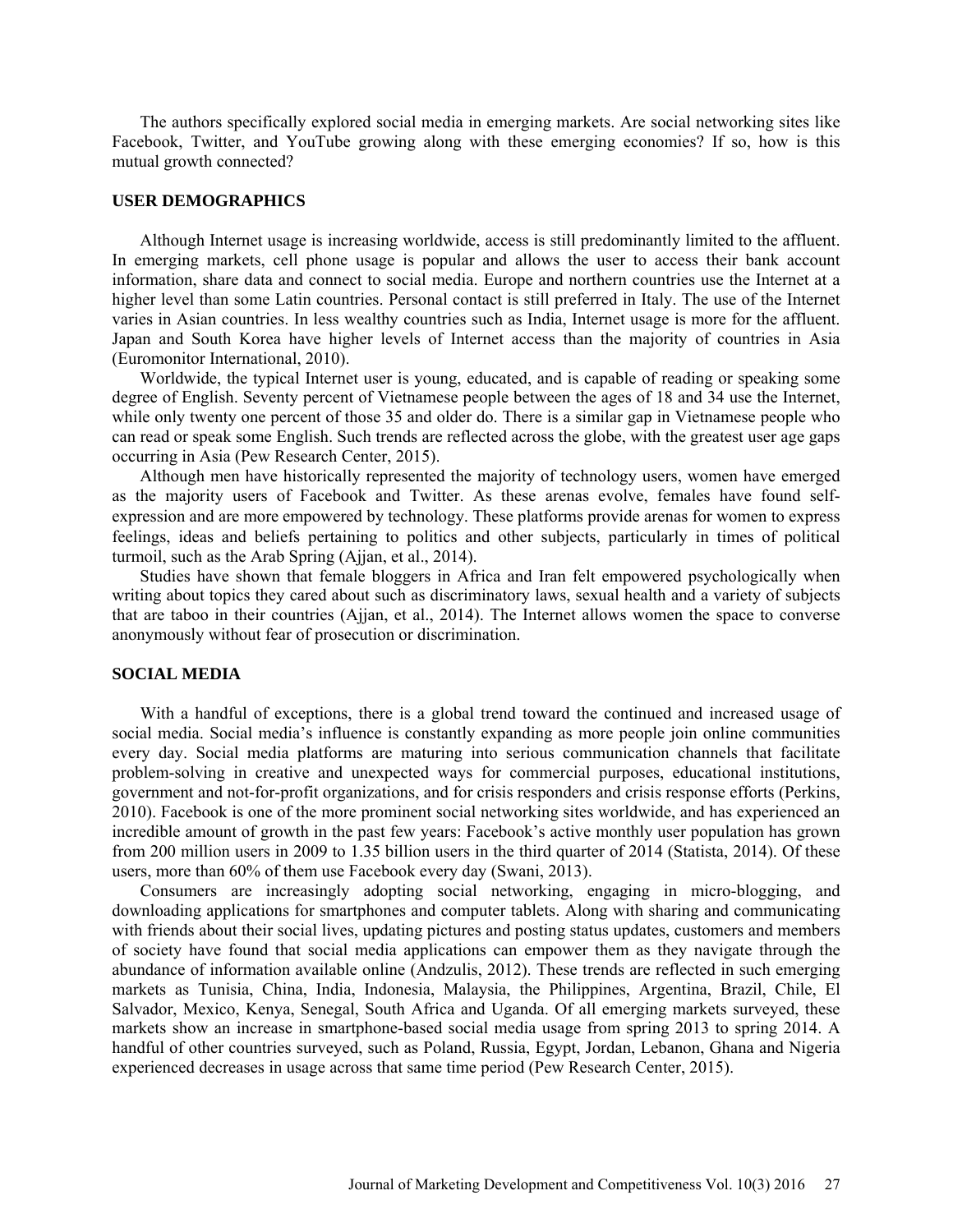The authors specifically explored social media in emerging markets. Are social networking sites like Facebook, Twitter, and YouTube growing along with these emerging economies? If so, how is this mutual growth connected?

## **USER DEMOGRAPHICS**

Although Internet usage is increasing worldwide, access is still predominantly limited to the affluent. In emerging markets, cell phone usage is popular and allows the user to access their bank account information, share data and connect to social media. Europe and northern countries use the Internet at a higher level than some Latin countries. Personal contact is still preferred in Italy. The use of the Internet varies in Asian countries. In less wealthy countries such as India, Internet usage is more for the affluent. Japan and South Korea have higher levels of Internet access than the majority of countries in Asia (Euromonitor International, 2010).

Worldwide, the typical Internet user is young, educated, and is capable of reading or speaking some degree of English. Seventy percent of Vietnamese people between the ages of 18 and 34 use the Internet, while only twenty one percent of those 35 and older do. There is a similar gap in Vietnamese people who can read or speak some English. Such trends are reflected across the globe, with the greatest user age gaps occurring in Asia (Pew Research Center, 2015).

Although men have historically represented the majority of technology users, women have emerged as the majority users of Facebook and Twitter. As these arenas evolve, females have found selfexpression and are more empowered by technology. These platforms provide arenas for women to express feelings, ideas and beliefs pertaining to politics and other subjects, particularly in times of political turmoil, such as the Arab Spring (Ajjan, et al., 2014).

Studies have shown that female bloggers in Africa and Iran felt empowered psychologically when writing about topics they cared about such as discriminatory laws, sexual health and a variety of subjects that are taboo in their countries (Ajjan, et al., 2014). The Internet allows women the space to converse anonymously without fear of prosecution or discrimination.

# **SOCIAL MEDIA**

With a handful of exceptions, there is a global trend toward the continued and increased usage of social media. Social media's influence is constantly expanding as more people join online communities every day. Social media platforms are maturing into serious communication channels that facilitate problem-solving in creative and unexpected ways for commercial purposes, educational institutions, government and not-for-profit organizations, and for crisis responders and crisis response efforts (Perkins, 2010). Facebook is one of the more prominent social networking sites worldwide, and has experienced an incredible amount of growth in the past few years: Facebook's active monthly user population has grown from 200 million users in 2009 to 1.35 billion users in the third quarter of 2014 (Statista, 2014). Of these users, more than 60% of them use Facebook every day (Swani, 2013).

Consumers are increasingly adopting social networking, engaging in micro-blogging, and downloading applications for smartphones and computer tablets. Along with sharing and communicating with friends about their social lives, updating pictures and posting status updates, customers and members of society have found that social media applications can empower them as they navigate through the abundance of information available online (Andzulis, 2012). These trends are reflected in such emerging markets as Tunisia, China, India, Indonesia, Malaysia, the Philippines, Argentina, Brazil, Chile, El Salvador, Mexico, Kenya, Senegal, South Africa and Uganda. Of all emerging markets surveyed, these markets show an increase in smartphone-based social media usage from spring 2013 to spring 2014. A handful of other countries surveyed, such as Poland, Russia, Egypt, Jordan, Lebanon, Ghana and Nigeria experienced decreases in usage across that same time period (Pew Research Center, 2015).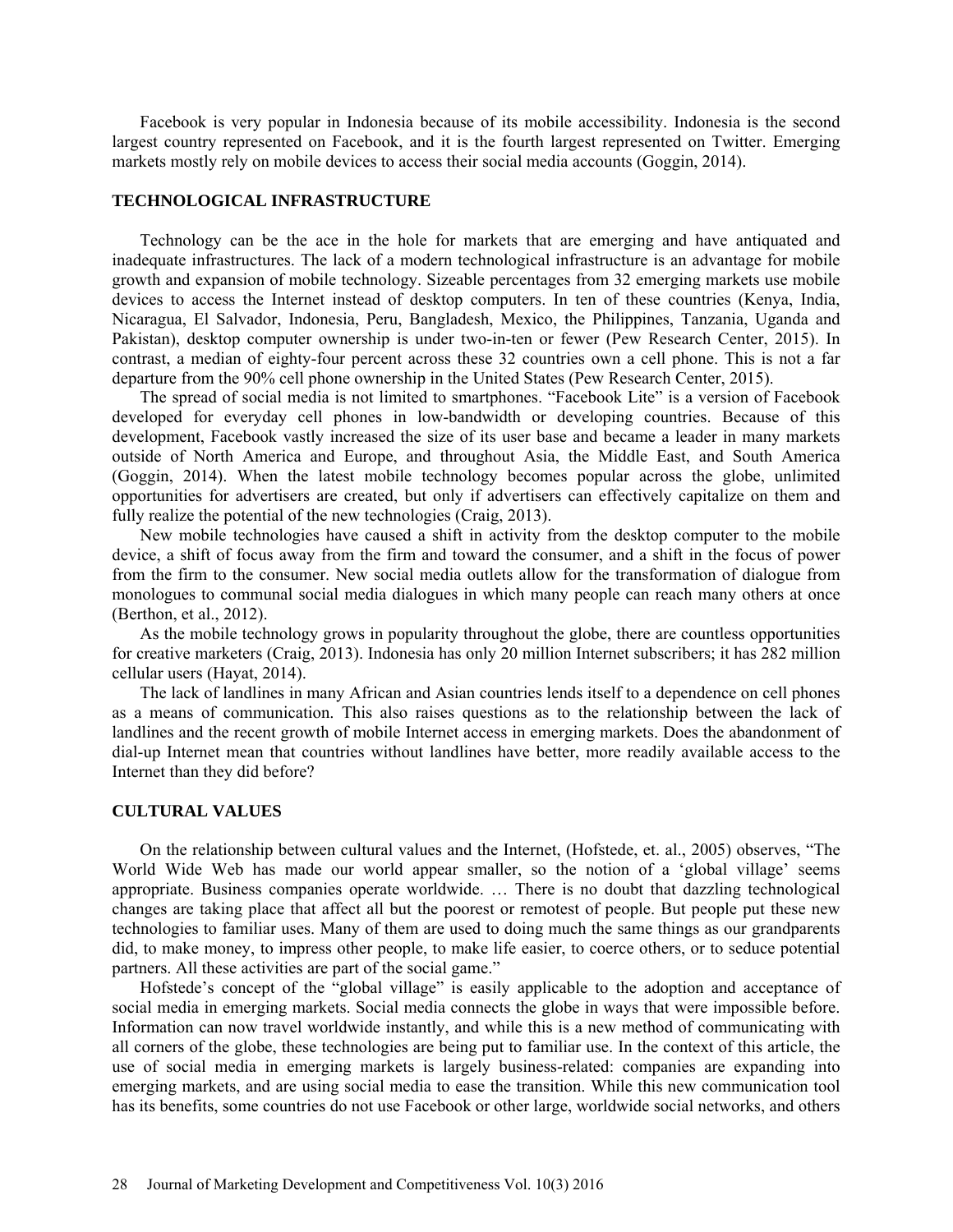Facebook is very popular in Indonesia because of its mobile accessibility. Indonesia is the second largest country represented on Facebook, and it is the fourth largest represented on Twitter. Emerging markets mostly rely on mobile devices to access their social media accounts (Goggin, 2014).

# **TECHNOLOGICAL INFRASTRUCTURE**

Technology can be the ace in the hole for markets that are emerging and have antiquated and inadequate infrastructures. The lack of a modern technological infrastructure is an advantage for mobile growth and expansion of mobile technology. Sizeable percentages from 32 emerging markets use mobile devices to access the Internet instead of desktop computers. In ten of these countries (Kenya, India, Nicaragua, El Salvador, Indonesia, Peru, Bangladesh, Mexico, the Philippines, Tanzania, Uganda and Pakistan), desktop computer ownership is under two-in-ten or fewer (Pew Research Center, 2015). In contrast, a median of eighty-four percent across these 32 countries own a cell phone. This is not a far departure from the 90% cell phone ownership in the United States (Pew Research Center, 2015).

The spread of social media is not limited to smartphones. "Facebook Lite" is a version of Facebook developed for everyday cell phones in low-bandwidth or developing countries. Because of this development, Facebook vastly increased the size of its user base and became a leader in many markets outside of North America and Europe, and throughout Asia, the Middle East, and South America (Goggin, 2014). When the latest mobile technology becomes popular across the globe, unlimited opportunities for advertisers are created, but only if advertisers can effectively capitalize on them and fully realize the potential of the new technologies (Craig, 2013).

New mobile technologies have caused a shift in activity from the desktop computer to the mobile device, a shift of focus away from the firm and toward the consumer, and a shift in the focus of power from the firm to the consumer. New social media outlets allow for the transformation of dialogue from monologues to communal social media dialogues in which many people can reach many others at once (Berthon, et al., 2012).

As the mobile technology grows in popularity throughout the globe, there are countless opportunities for creative marketers (Craig, 2013). Indonesia has only 20 million Internet subscribers; it has 282 million cellular users (Hayat, 2014).

The lack of landlines in many African and Asian countries lends itself to a dependence on cell phones as a means of communication. This also raises questions as to the relationship between the lack of landlines and the recent growth of mobile Internet access in emerging markets. Does the abandonment of dial-up Internet mean that countries without landlines have better, more readily available access to the Internet than they did before?

### **CULTURAL VALUES**

On the relationship between cultural values and the Internet, (Hofstede, et. al., 2005) observes, "The World Wide Web has made our world appear smaller, so the notion of a 'global village' seems appropriate. Business companies operate worldwide. … There is no doubt that dazzling technological changes are taking place that affect all but the poorest or remotest of people. But people put these new technologies to familiar uses. Many of them are used to doing much the same things as our grandparents did, to make money, to impress other people, to make life easier, to coerce others, or to seduce potential partners. All these activities are part of the social game."

Hofstede's concept of the "global village" is easily applicable to the adoption and acceptance of social media in emerging markets. Social media connects the globe in ways that were impossible before. Information can now travel worldwide instantly, and while this is a new method of communicating with all corners of the globe, these technologies are being put to familiar use. In the context of this article, the use of social media in emerging markets is largely business-related: companies are expanding into emerging markets, and are using social media to ease the transition. While this new communication tool has its benefits, some countries do not use Facebook or other large, worldwide social networks, and others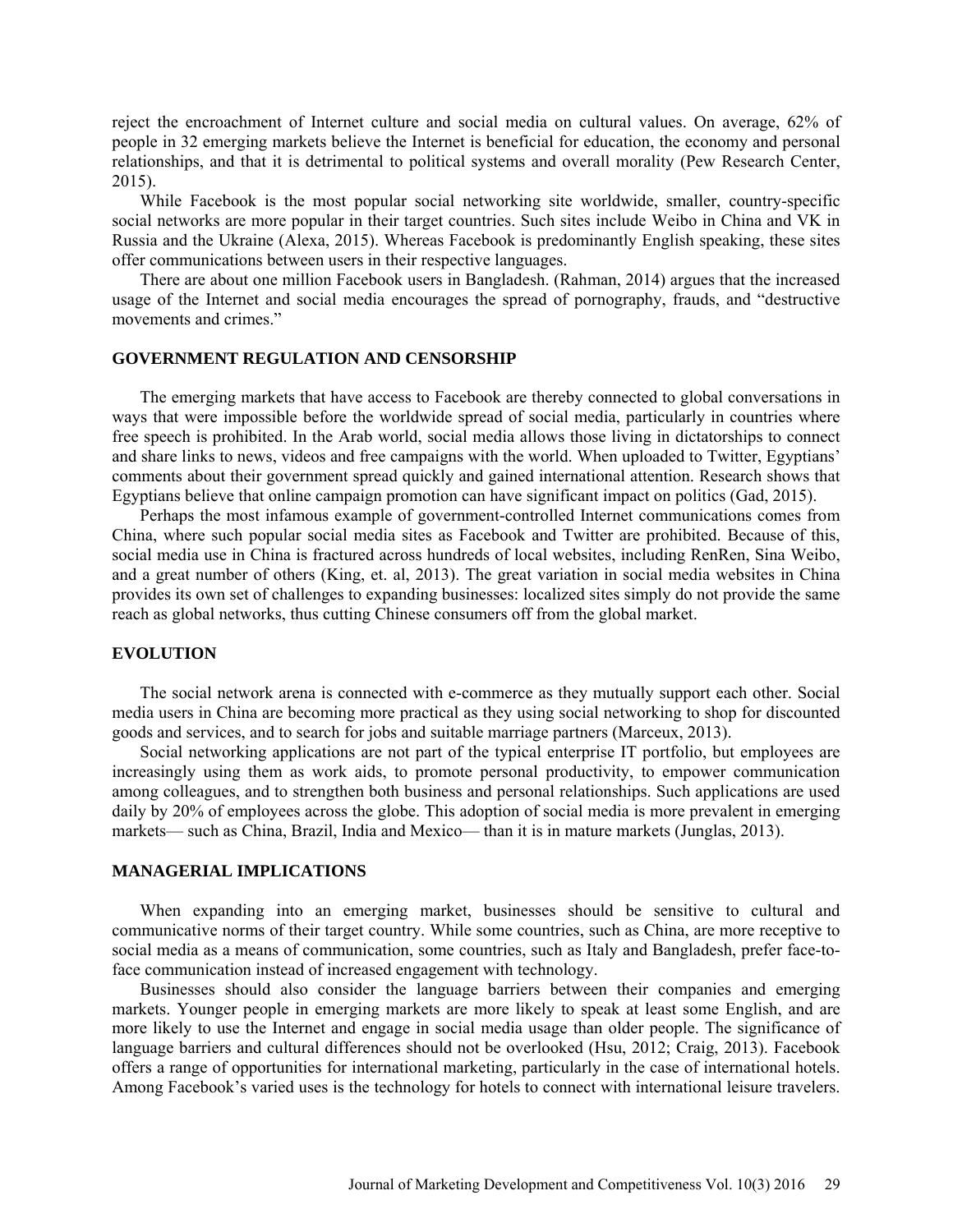reject the encroachment of Internet culture and social media on cultural values. On average, 62% of people in 32 emerging markets believe the Internet is beneficial for education, the economy and personal relationships, and that it is detrimental to political systems and overall morality (Pew Research Center, 2015).

While Facebook is the most popular social networking site worldwide, smaller, country-specific social networks are more popular in their target countries. Such sites include Weibo in China and VK in Russia and the Ukraine (Alexa, 2015). Whereas Facebook is predominantly English speaking, these sites offer communications between users in their respective languages.

There are about one million Facebook users in Bangladesh. (Rahman, 2014) argues that the increased usage of the Internet and social media encourages the spread of pornography, frauds, and "destructive movements and crimes."

# **GOVERNMENT REGULATION AND CENSORSHIP**

The emerging markets that have access to Facebook are thereby connected to global conversations in ways that were impossible before the worldwide spread of social media, particularly in countries where free speech is prohibited. In the Arab world, social media allows those living in dictatorships to connect and share links to news, videos and free campaigns with the world. When uploaded to Twitter, Egyptians' comments about their government spread quickly and gained international attention. Research shows that Egyptians believe that online campaign promotion can have significant impact on politics (Gad, 2015).

Perhaps the most infamous example of government-controlled Internet communications comes from China, where such popular social media sites as Facebook and Twitter are prohibited. Because of this, social media use in China is fractured across hundreds of local websites, including RenRen, Sina Weibo, and a great number of others (King, et. al, 2013). The great variation in social media websites in China provides its own set of challenges to expanding businesses: localized sites simply do not provide the same reach as global networks, thus cutting Chinese consumers off from the global market.

# **EVOLUTION**

The social network arena is connected with e-commerce as they mutually support each other. Social media users in China are becoming more practical as they using social networking to shop for discounted goods and services, and to search for jobs and suitable marriage partners (Marceux, 2013).

Social networking applications are not part of the typical enterprise IT portfolio, but employees are increasingly using them as work aids, to promote personal productivity, to empower communication among colleagues, and to strengthen both business and personal relationships. Such applications are used daily by 20% of employees across the globe. This adoption of social media is more prevalent in emerging markets— such as China, Brazil, India and Mexico— than it is in mature markets (Junglas, 2013).

### **MANAGERIAL IMPLICATIONS**

When expanding into an emerging market, businesses should be sensitive to cultural and communicative norms of their target country. While some countries, such as China, are more receptive to social media as a means of communication, some countries, such as Italy and Bangladesh, prefer face-toface communication instead of increased engagement with technology.

Businesses should also consider the language barriers between their companies and emerging markets. Younger people in emerging markets are more likely to speak at least some English, and are more likely to use the Internet and engage in social media usage than older people. The significance of language barriers and cultural differences should not be overlooked (Hsu, 2012; Craig, 2013). Facebook offers a range of opportunities for international marketing, particularly in the case of international hotels. Among Facebook's varied uses is the technology for hotels to connect with international leisure travelers.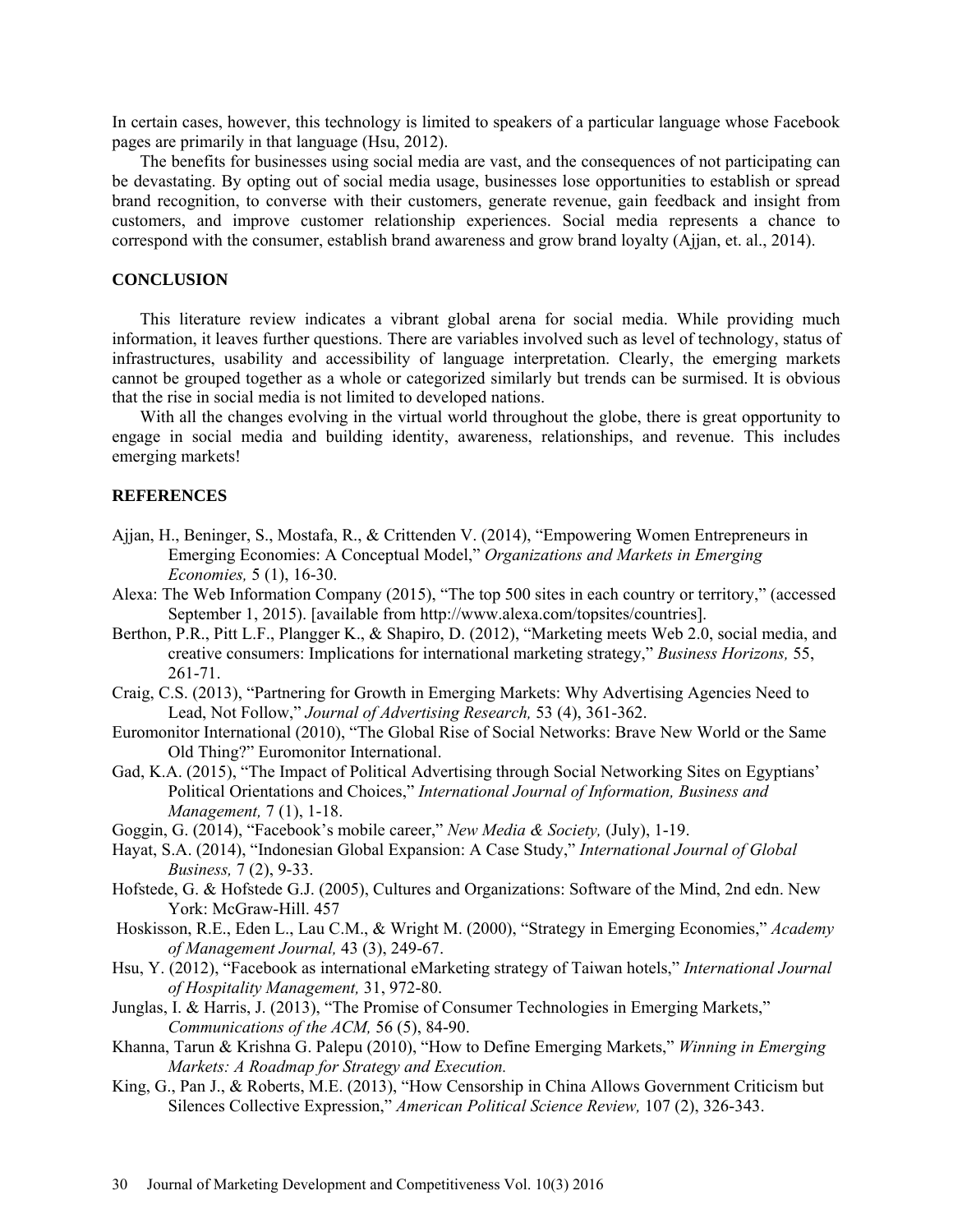In certain cases, however, this technology is limited to speakers of a particular language whose Facebook pages are primarily in that language (Hsu, 2012).

The benefits for businesses using social media are vast, and the consequences of not participating can be devastating. By opting out of social media usage, businesses lose opportunities to establish or spread brand recognition, to converse with their customers, generate revenue, gain feedback and insight from customers, and improve customer relationship experiences. Social media represents a chance to correspond with the consumer, establish brand awareness and grow brand loyalty (Ajjan, et. al., 2014).

### **CONCLUSION**

This literature review indicates a vibrant global arena for social media. While providing much information, it leaves further questions. There are variables involved such as level of technology, status of infrastructures, usability and accessibility of language interpretation. Clearly, the emerging markets cannot be grouped together as a whole or categorized similarly but trends can be surmised. It is obvious that the rise in social media is not limited to developed nations.

With all the changes evolving in the virtual world throughout the globe, there is great opportunity to engage in social media and building identity, awareness, relationships, and revenue. This includes emerging markets!

# **REFERENCES**

- Ajjan, H., Beninger, S., Mostafa, R., & Crittenden V. (2014), "Empowering Women Entrepreneurs in Emerging Economies: A Conceptual Model," *Organizations and Markets in Emerging Economies,* 5 (1), 16-30.
- Alexa: The Web Information Company (2015), "The top 500 sites in each country or territory," (accessed September 1, 2015). [available from http://www.alexa.com/topsites/countries].
- Berthon, P.R., Pitt L.F., Plangger K., & Shapiro, D. (2012), "Marketing meets Web 2.0, social media, and creative consumers: Implications for international marketing strategy," *Business Horizons,* 55, 261-71.
- Craig, C.S. (2013), "Partnering for Growth in Emerging Markets: Why Advertising Agencies Need to Lead, Not Follow," *Journal of Advertising Research,* 53 (4), 361-362.
- Euromonitor International (2010), "The Global Rise of Social Networks: Brave New World or the Same Old Thing?" Euromonitor International.
- Gad, K.A. (2015), "The Impact of Political Advertising through Social Networking Sites on Egyptians' Political Orientations and Choices," *International Journal of Information, Business and Management,* 7 (1), 1-18.
- Goggin, G. (2014), "Facebook's mobile career," *New Media & Society,* (July), 1-19.
- Hayat, S.A. (2014), "Indonesian Global Expansion: A Case Study," *International Journal of Global Business,* 7 (2), 9-33.
- Hofstede, G. & Hofstede G.J. (2005), Cultures and Organizations: Software of the Mind, 2nd edn. New York: McGraw-Hill. 457
- Hoskisson, R.E., Eden L., Lau C.M., & Wright M. (2000), "Strategy in Emerging Economies," *Academy of Management Journal,* 43 (3), 249-67.
- Hsu, Y. (2012), "Facebook as international eMarketing strategy of Taiwan hotels," *International Journal of Hospitality Management,* 31, 972-80.
- Junglas, I. & Harris, J. (2013), "The Promise of Consumer Technologies in Emerging Markets," *Communications of the ACM,* 56 (5), 84-90.
- Khanna, Tarun & Krishna G. Palepu (2010), "How to Define Emerging Markets," *Winning in Emerging Markets: A Roadmap for Strategy and Execution.*
- King, G., Pan J., & Roberts, M.E. (2013), "How Censorship in China Allows Government Criticism but Silences Collective Expression," *American Political Science Review,* 107 (2), 326-343.